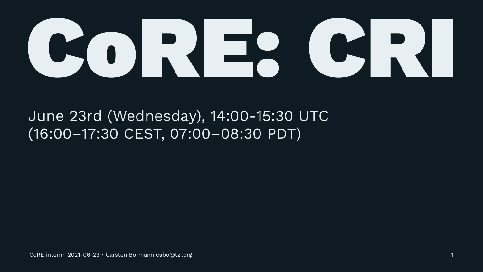

#### June 23rd (Wednesday), 14:00-15:30 UTC (16:00–17:30 CEST, 07:00–08:30 PDT)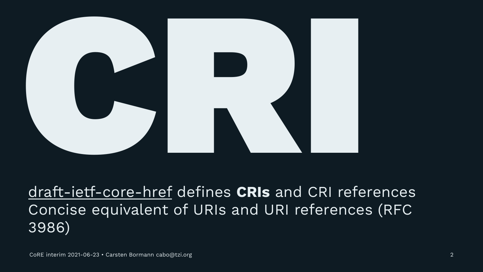

## [draft-ietf-core-href](https://datatracker.ietf.org/doc/draft-ietf-core-href/) defines **CRIs** and CRI references Concise equivalent of URIs and URI references (RFC 3986)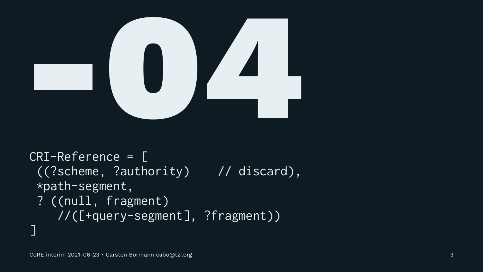

CRI-Reference = [ ((?scheme, ?authority) // discard), \*path-segment, ? ((null, fragment) //([+query-segment], ?fragment)) ]

3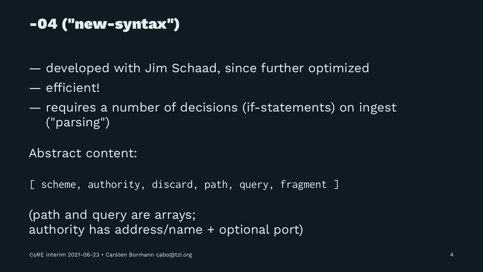## -04 ("new-syntax")

- developed with Jim Schaad, since further optimized
- efficient!
- requires a number of decisions (if-statements) on ingest ("parsing")
- Abstract content:
- [ scheme, authority, discard, path, query, fragment ]

#### (path and query are arrays; authority has address/name + optional port)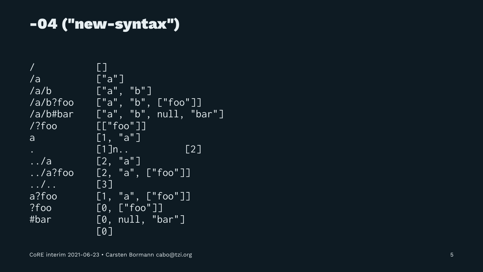## -04 ("new-syntax")

[] /a ["a"] /a/b ["a", "b"] /a/b?foo ["a", "b", ["foo"]] /a/b#bar ["a", "b", null, "bar"] /?foo [["foo"]] a [1, "a"]  $[1]n$ .. [2]  $1.7a$  [2, "a"]  $1.7a$ ?foo  $[2, "a", ["foo"]$  $\ldots$ ,  $\begin{bmatrix} 3 \end{bmatrix}$ a?foo  $[1, "a", ["foo"]$  $?$  foo  $[0, [\cdot]$  foo"]] #bar [0, null, "bar"] [0]

5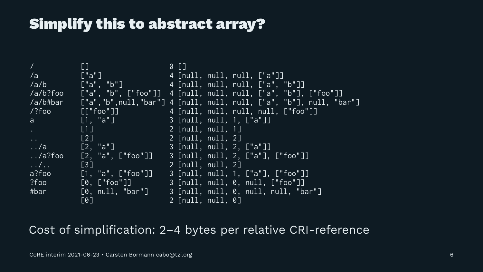## Simplify this to abstract array?

/ [] 0 [] /a ["a"] 4 [null, null, null, ["a"]] /a/b ["a", "b"] 4 [null, null, null, ["a", "b"]] /a/b?foo ["a", "b", ["foo"]] 4 [null, null, null, ["a", "b"], ["foo"]] /a/b#bar ["a","b",null,"bar"] 4 [null, null, null, ["a", "b"], null, "bar"] /?foo [["foo"]] 4 [null, null, null, null, ["foo"]] a [1, "a"] 3 [null, null, 1, ["a"]] [1] 2 [null, null, 1] .. [2] [2] 2 [null, null, 2] ../a [2, "a"] 3 [null, null, 2, ["a"]] ../a?foo [2, "a", ["foo"]] 3 [null, null, 2, ["a"], ["foo"]] ../.. [3] 2 [null, null, 2] a?foo  $\bar{[1, "a", [``foo"]]$  3  $\bar{[null, null, 1, [``a"], [``foo"]]$ ?foo [0, ["foo"]] 3 [null, null, 0, null, ["foo"]] #bar [0, null, "bar"] 3 [null, null, 0, null, null, "bar"] [0] 2 [null, null, 0]

Cost of simplification: 2–4 bytes per relative CRI-reference



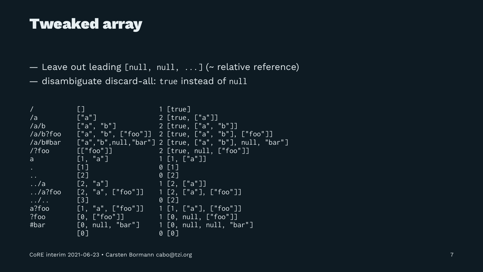#### Tweaked array

/ [] 1 [true] /a ["a"] 2 [true, ["a"]] /a/b ["a", "b"] 2 [true, ["a", "b"]] /a/b?foo ["a", "b", ["foo"]] 2 [true, ["a", "b"], ["foo"]] /a/b#bar ["a","b",null,"bar"] 2 [true, ["a", "b"], null, "bar"] /?foo [["foo"]] 2 [true, null, ["foo"]] a  $[1, "a"]$  1  $[1, "a"]$  $[1]$  0  $[1]$ .. [2] 0 [2] ../a [2, "a"] 1 [2, ["a"]] ../a?foo [2, "a", ["foo"]] 1 [2, ["a"], ["foo"]]  $\ldots$ , ..., [3] 0 [2] a?foo [1, "a", ["foo"]] 1 [1, ["a"], ["foo"]] ?foo [0, ["foo"]] 1 [0, null, ["foo"]] #bar [0, null, "bar"] 1 [0, null, null, "bar"]  $[0]$  0  $[0]$ 

— Leave out leading [null, null, ...] (~ relative reference) — disambiguate discard-all: true instead of null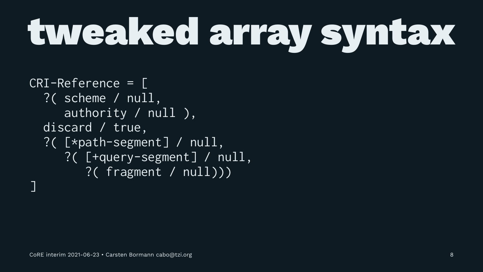# tweaked array syntax

CRI-Reference = [ ?( scheme / null, authority / null ), discard / true, ?( [\*path-segment] / null, ?( [+query-segment] / null, ?( fragment / null))) ]